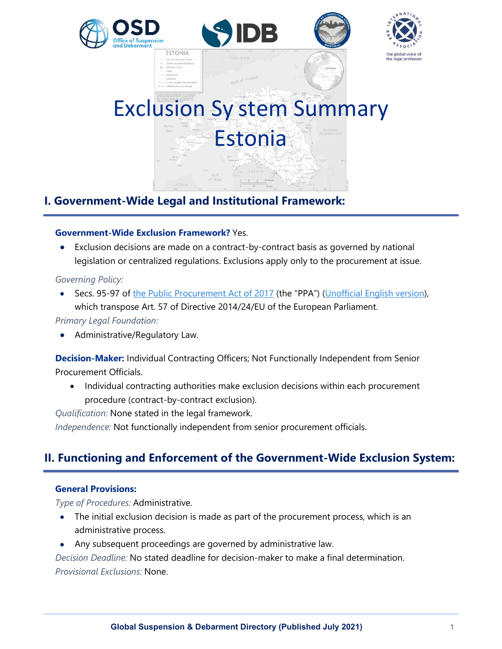





# Exclusion Sy stem Summary Estonia

# **I. Government-Wide Legal and Institutional Framework:**

# **Government-Wide Exclusion Framework?** Yes.

• Exclusion decisions are made on a contract-by-contract basis as governed by national legislation or centralized regulations. Exclusions apply only to the procurement at issue.

# *Governing Policy:*

Secs. 95-97 of [the Public Procurement Act of 2017](https://www.riigiteataja.ee/akt/101072017001?leiaKehtiv) (the "PPA") [\(Unofficial English version\)](https://www.riigiteataja.ee/en/eli/ee/525032019011/consolide/current), which transpose Art. 57 of Directive 2014/24/EU of the European Parliament.

# *Primary Legal Foundation:*

• Administrative/Regulatory Law.

**Decision-Maker:** Individual Contracting Officers; Not Functionally Independent from Senior Procurement Officials.

• Individual contracting authorities make exclusion decisions within each procurement procedure (contract-by-contract exclusion).

*Qualification:* None stated in the legal framework.

*Independence:* Not functionally independent from senior procurement officials.

# **II. Functioning and Enforcement of the Government-Wide Exclusion System:**

# **General Provisions:**

*Type of Procedures:* Administrative.

- The initial exclusion decision is made as part of the procurement process, which is an administrative process.
- Any subsequent proceedings are governed by administrative law.

*Decision Deadline:* No stated deadline for decision-maker to make a final determination. *Provisional Exclusions:* None.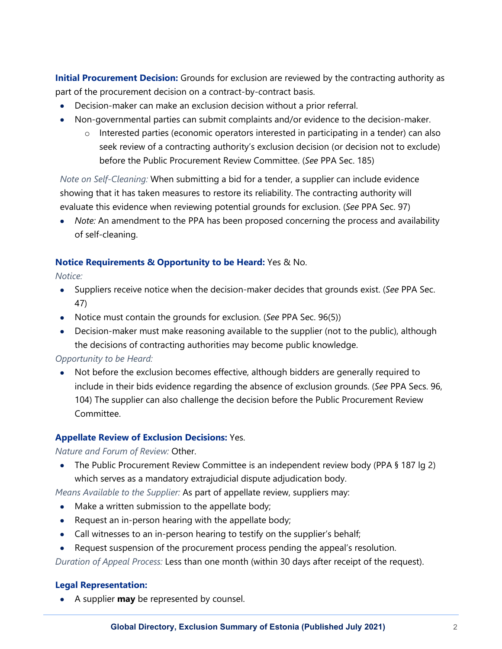**Initial Procurement Decision:** Grounds for exclusion are reviewed by the contracting authority as part of the procurement decision on a contract-by-contract basis.

- Decision-maker can make an exclusion decision without a prior referral.
- Non-governmental parties can submit complaints and/or evidence to the decision-maker.
	- o Interested parties (economic operators interested in participating in a tender) can also seek review of a contracting authority's exclusion decision (or decision not to exclude) before the Public Procurement Review Committee. (*See* PPA Sec. 185)

*Note on Self-Cleaning:* When submitting a bid for a tender, a supplier can include evidence showing that it has taken measures to restore its reliability. The contracting authority will evaluate this evidence when reviewing potential grounds for exclusion. (*See* PPA Sec. 97)

• *Note:* An amendment to the PPA has been proposed concerning the process and availability of self-cleaning.

# **Notice Requirements & Opportunity to be Heard:** Yes & No.

*Notice:*

- Suppliers receive notice when the decision-maker decides that grounds exist. (*See* PPA Sec. 47)
- Notice must contain the grounds for exclusion. (*See* PPA Sec. 96(5))
- Decision-maker must make reasoning available to the supplier (not to the public), although the decisions of contracting authorities may become public knowledge.

#### *Opportunity to be Heard:*

• Not before the exclusion becomes effective, although bidders are generally required to include in their bids evidence regarding the absence of exclusion grounds. (*See* PPA Secs. 96, 104) The supplier can also challenge the decision before the Public Procurement Review Committee.

# **Appellate Review of Exclusion Decisions:** Yes.

#### *Nature and Forum of Review:* Other.

• The Public Procurement Review Committee is an independent review body (PPA § 187 lg 2) which serves as a mandatory extrajudicial dispute adjudication body.

*Means Available to the Supplier:* As part of appellate review, suppliers may:

- Make a written submission to the appellate body;
- Request an in-person hearing with the appellate body;
- Call witnesses to an in-person hearing to testify on the supplier's behalf;
- Request suspension of the procurement process pending the appeal's resolution.

*Duration of Appeal Process:* Less than one month (within 30 days after receipt of the request).

#### **Legal Representation:**

• A supplier **may** be represented by counsel.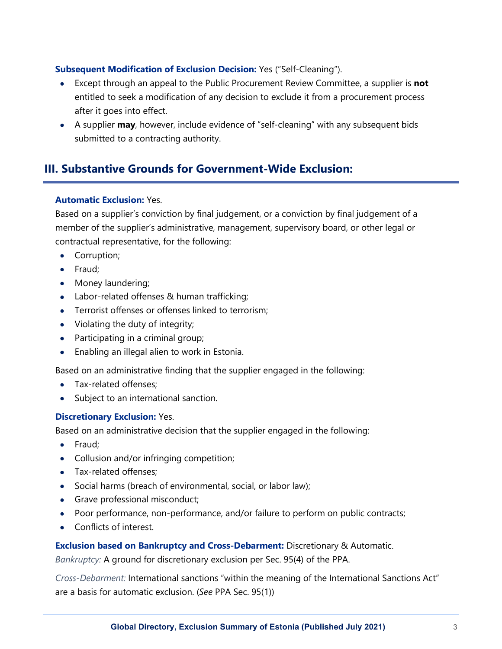# **Subsequent Modification of Exclusion Decision:** Yes ("Self-Cleaning").

- Except through an appeal to the Public Procurement Review Committee, a supplier is **not** entitled to seek a modification of any decision to exclude it from a procurement process after it goes into effect.
- A supplier **may**, however, include evidence of "self-cleaning" with any subsequent bids submitted to a contracting authority.

# **III. Substantive Grounds for Government-Wide Exclusion:**

# **Automatic Exclusion:** Yes.

Based on a supplier's conviction by final judgement, or a conviction by final judgement of a member of the supplier's administrative, management, supervisory board, or other legal or contractual representative, for the following:

- Corruption;
- Fraud;
- Money laundering;
- Labor-related offenses & human trafficking;
- Terrorist offenses or offenses linked to terrorism;
- Violating the duty of integrity;
- Participating in a criminal group;
- Enabling an illegal alien to work in Estonia.

Based on an administrative finding that the supplier engaged in the following:

- Tax-related offenses:
- Subject to an international sanction.

#### **Discretionary Exclusion:** Yes.

Based on an administrative decision that the supplier engaged in the following:

- Fraud;
- Collusion and/or infringing competition;
- Tax-related offenses;
- Social harms (breach of environmental, social, or labor law);
- Grave professional misconduct;
- Poor performance, non-performance, and/or failure to perform on public contracts;
- Conflicts of interest.

**Exclusion based on Bankruptcy and Cross-Debarment:** Discretionary & Automatic.

*Bankruptcy:* A ground for discretionary exclusion per Sec. 95(4) of the PPA.

*Cross-Debarment:* International sanctions "within the meaning of the International Sanctions Act" are a basis for automatic exclusion. (*See* PPA Sec. 95(1))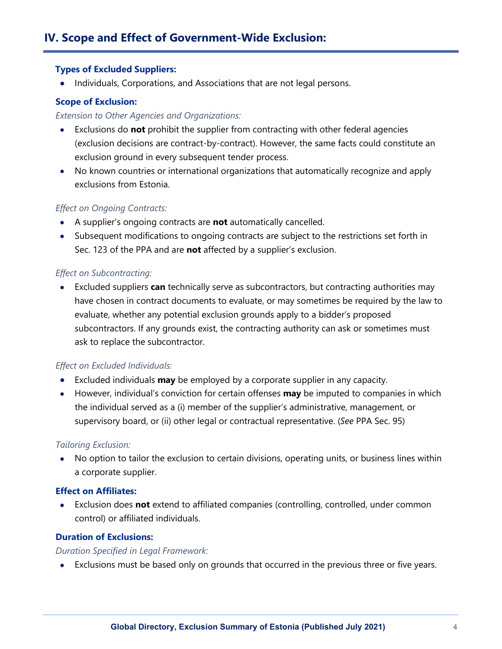#### **Types of Excluded Suppliers:**

• Individuals, Corporations, and Associations that are not legal persons.

#### **Scope of Exclusion:**

#### *Extension to Other Agencies and Organizations:*

- Exclusions do **not** prohibit the supplier from contracting with other federal agencies (exclusion decisions are contract-by-contract). However, the same facts could constitute an exclusion ground in every subsequent tender process.
- No known countries or international organizations that automatically recognize and apply exclusions from Estonia.

#### *Effect on Ongoing Contracts:*

- A supplier's ongoing contracts are **not** automatically cancelled.
- Subsequent modifications to ongoing contracts are subject to the restrictions set forth in Sec. 123 of the PPA and are **not** affected by a supplier's exclusion.

#### *Effect on Subcontracting:*

• Excluded suppliers **can** technically serve as subcontractors, but contracting authorities may have chosen in contract documents to evaluate, or may sometimes be required by the law to evaluate, whether any potential exclusion grounds apply to a bidder's proposed subcontractors. If any grounds exist, the contracting authority can ask or sometimes must ask to replace the subcontractor.

#### *Effect on Excluded Individuals:*

- Excluded individuals **may** be employed by a corporate supplier in any capacity.
- However, individual's conviction for certain offenses **may** be imputed to companies in which the individual served as a (i) member of the supplier's administrative, management, or supervisory board, or (ii) other legal or contractual representative. (*See* PPA Sec. 95)

#### *Tailoring Exclusion:*

• No option to tailor the exclusion to certain divisions, operating units, or business lines within a corporate supplier.

#### **Effect on Affiliates:**

• Exclusion does **not** extend to affiliated companies (controlling, controlled, under common control) or affiliated individuals.

#### **Duration of Exclusions:**

# *Duration Specified in Legal Framework:*

• Exclusions must be based only on grounds that occurred in the previous three or five years.